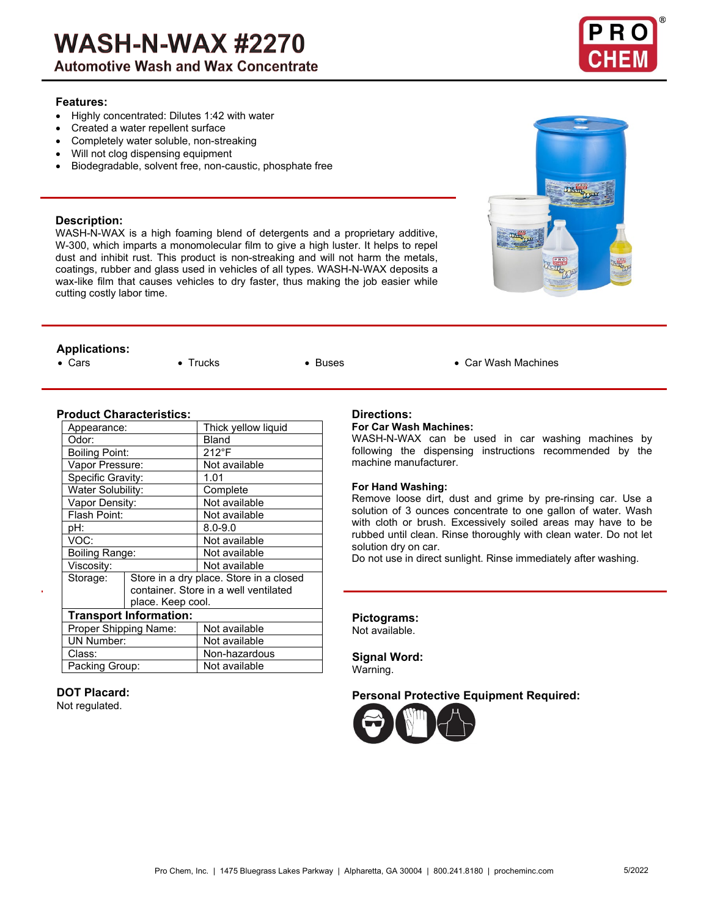# **WASH-N-WAX #2270**

**Automotive Wash and Wax Concentrate** 

# **Features:**

- Highly concentrated: Dilutes 1:42 with water
- Created a water repellent surface
- Completely water soluble, non-streaking
- Will not clog dispensing equipment
- Biodegradable, solvent free, non-caustic, phosphate free

# **Description:**

WASH-N-WAX is a high foaming blend of detergents and a proprietary additive, W-300, which imparts a monomolecular film to give a high luster. It helps to repel dust and inhibit rust. This product is non-streaking and will not harm the metals, coatings, rubber and glass used in vehicles of all types. WASH-N-WAX deposits a wax-like film that causes vehicles to dry faster, thus making the job easier while cutting costly labor time.

# **Applications:**

• Cars • Trucks • Buses • Car Wash Machines

# **Product Characteristics:**

| Appearance:                   |                                       | Thick yellow liquid                     |  |  |
|-------------------------------|---------------------------------------|-----------------------------------------|--|--|
| Odor:                         |                                       | Bland                                   |  |  |
| <b>Boiling Point:</b>         |                                       | $212^{\circ}F$                          |  |  |
| Vapor Pressure:               |                                       | Not available                           |  |  |
| Specific Gravity:             |                                       | 1.01                                    |  |  |
| Water Solubility:             |                                       | Complete                                |  |  |
| Vapor Density:                |                                       | Not available                           |  |  |
| Flash Point:                  |                                       | Not available                           |  |  |
| pH:                           |                                       | $8.0 - 9.0$                             |  |  |
| VOC:                          |                                       | Not available                           |  |  |
| Boiling Range:                |                                       | Not available                           |  |  |
| Viscosity:                    |                                       | Not available                           |  |  |
| Storage:                      |                                       | Store in a dry place. Store in a closed |  |  |
|                               | container. Store in a well ventilated |                                         |  |  |
|                               | place. Keep cool.                     |                                         |  |  |
| <b>Transport Information:</b> |                                       |                                         |  |  |
| Proper Shipping Name:         |                                       | Not available                           |  |  |
| <b>UN Number:</b>             |                                       | Not available                           |  |  |
| Class:                        |                                       | Non-hazardous                           |  |  |
| Packing Group:                |                                       | Not available                           |  |  |

# **DOT Placard:**

Not regulated.

# **Directions:**

### **For Car Wash Machines:**

WASH-N-WAX can be used in car washing machines by following the dispensing instructions recommended by the machine manufacturer.

#### **For Hand Washing:**

Remove loose dirt, dust and grime by pre-rinsing car. Use a solution of 3 ounces concentrate to one gallon of water. Wash with cloth or brush. Excessively soiled areas may have to be rubbed until clean. Rinse thoroughly with clean water. Do not let solution dry on car.

Do not use in direct sunlight. Rinse immediately after washing.

# **Pictograms:**

Not available.

**Signal Word:** Warning.

# **Personal Protective Equipment Required:**



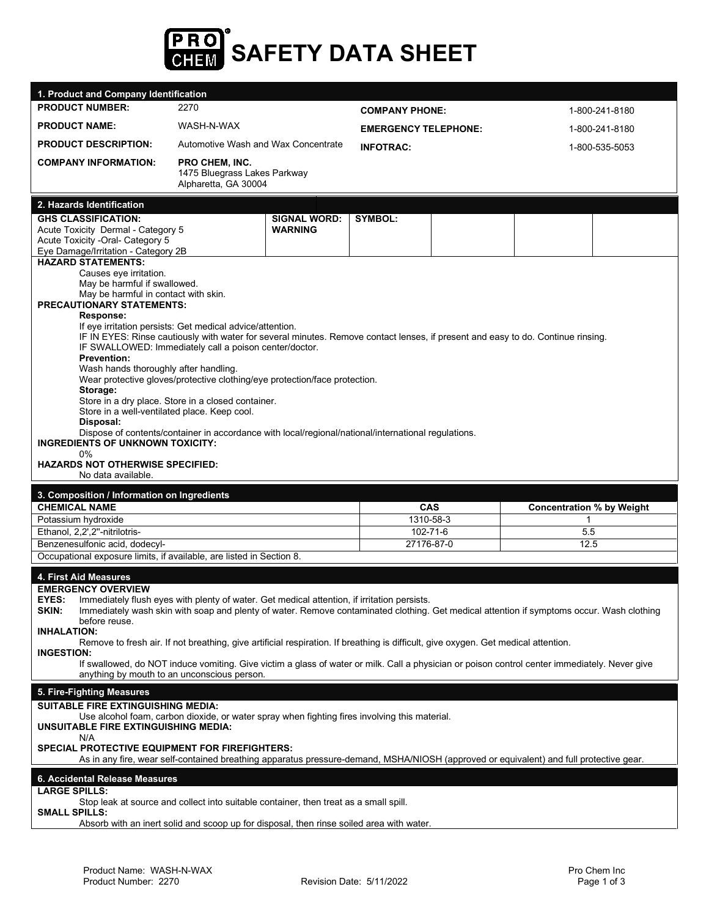

| 1. Product and Company Identification                                                                                                                                                                                                                                                                                                                                                                                                                                                                                                                                                                                                                                                                                                                                                                                                                                                                                                           |                                                                                                                                                                                                                                         |                                                         |                       |                             |                                  |                |
|-------------------------------------------------------------------------------------------------------------------------------------------------------------------------------------------------------------------------------------------------------------------------------------------------------------------------------------------------------------------------------------------------------------------------------------------------------------------------------------------------------------------------------------------------------------------------------------------------------------------------------------------------------------------------------------------------------------------------------------------------------------------------------------------------------------------------------------------------------------------------------------------------------------------------------------------------|-----------------------------------------------------------------------------------------------------------------------------------------------------------------------------------------------------------------------------------------|---------------------------------------------------------|-----------------------|-----------------------------|----------------------------------|----------------|
| <b>PRODUCT NUMBER:</b>                                                                                                                                                                                                                                                                                                                                                                                                                                                                                                                                                                                                                                                                                                                                                                                                                                                                                                                          | 2270                                                                                                                                                                                                                                    |                                                         | <b>COMPANY PHONE:</b> |                             |                                  | 1-800-241-8180 |
| <b>PRODUCT NAME:</b>                                                                                                                                                                                                                                                                                                                                                                                                                                                                                                                                                                                                                                                                                                                                                                                                                                                                                                                            | WASH-N-WAX                                                                                                                                                                                                                              |                                                         |                       | <b>EMERGENCY TELEPHONE:</b> |                                  | 1-800-241-8180 |
| <b>PRODUCT DESCRIPTION:</b>                                                                                                                                                                                                                                                                                                                                                                                                                                                                                                                                                                                                                                                                                                                                                                                                                                                                                                                     |                                                                                                                                                                                                                                         | Automotive Wash and Wax Concentrate<br><b>INFOTRAC:</b> |                       |                             | 1-800-535-5053                   |                |
| <b>COMPANY INFORMATION:</b>                                                                                                                                                                                                                                                                                                                                                                                                                                                                                                                                                                                                                                                                                                                                                                                                                                                                                                                     | <b>PRO CHEM. INC.</b><br>1475 Bluegrass Lakes Parkway<br>Alpharetta, GA 30004                                                                                                                                                           |                                                         |                       |                             |                                  |                |
| 2. Hazards Identification                                                                                                                                                                                                                                                                                                                                                                                                                                                                                                                                                                                                                                                                                                                                                                                                                                                                                                                       |                                                                                                                                                                                                                                         |                                                         |                       |                             |                                  |                |
| <b>GHS CLASSIFICATION:</b><br>Acute Toxicity Dermal - Category 5<br>Acute Toxicity -Oral- Category 5<br>Eye Damage/Irritation - Category 2B                                                                                                                                                                                                                                                                                                                                                                                                                                                                                                                                                                                                                                                                                                                                                                                                     |                                                                                                                                                                                                                                         | <b>SIGNAL WORD:</b><br><b>WARNING</b>                   | <b>SYMBOL:</b>        |                             |                                  |                |
| <b>HAZARD STATEMENTS:</b><br>Causes eye irritation.<br>May be harmful if swallowed.<br>May be harmful in contact with skin.<br><b>PRECAUTIONARY STATEMENTS:</b><br>Response:<br>If eye irritation persists: Get medical advice/attention.<br>IF IN EYES: Rinse cautiously with water for several minutes. Remove contact lenses, if present and easy to do. Continue rinsing.<br>IF SWALLOWED: Immediately call a poison center/doctor.<br><b>Prevention:</b><br>Wash hands thoroughly after handling.<br>Wear protective gloves/protective clothing/eye protection/face protection.<br>Storage:<br>Store in a dry place. Store in a closed container.<br>Store in a well-ventilated place. Keep cool.<br>Disposal:<br>Dispose of contents/container in accordance with local/regional/national/international regulations.<br><b>INGREDIENTS OF UNKNOWN TOXICITY:</b><br>$0\%$<br><b>HAZARDS NOT OTHERWISE SPECIFIED:</b><br>No data available. |                                                                                                                                                                                                                                         |                                                         |                       |                             |                                  |                |
| 3. Composition / Information on Ingredients                                                                                                                                                                                                                                                                                                                                                                                                                                                                                                                                                                                                                                                                                                                                                                                                                                                                                                     |                                                                                                                                                                                                                                         |                                                         |                       |                             |                                  |                |
| <b>CHEMICAL NAME</b>                                                                                                                                                                                                                                                                                                                                                                                                                                                                                                                                                                                                                                                                                                                                                                                                                                                                                                                            |                                                                                                                                                                                                                                         |                                                         | <b>CAS</b>            |                             | <b>Concentration % by Weight</b> |                |
| Potassium hydroxide                                                                                                                                                                                                                                                                                                                                                                                                                                                                                                                                                                                                                                                                                                                                                                                                                                                                                                                             |                                                                                                                                                                                                                                         |                                                         | 1310-58-3             |                             | 1                                |                |
| Ethanol, 2,2',2"-nitrilotris-                                                                                                                                                                                                                                                                                                                                                                                                                                                                                                                                                                                                                                                                                                                                                                                                                                                                                                                   |                                                                                                                                                                                                                                         |                                                         | 102-71-6              |                             | 5.5                              |                |
| Benzenesulfonic acid, dodecyl-                                                                                                                                                                                                                                                                                                                                                                                                                                                                                                                                                                                                                                                                                                                                                                                                                                                                                                                  |                                                                                                                                                                                                                                         |                                                         |                       | 27176-87-0<br>12.5          |                                  |                |
| Occupational exposure limits, if available, are listed in Section 8.                                                                                                                                                                                                                                                                                                                                                                                                                                                                                                                                                                                                                                                                                                                                                                                                                                                                            |                                                                                                                                                                                                                                         |                                                         |                       |                             |                                  |                |
| 4. First Aid Measures<br><b>EMERGENCY OVERVIEW</b><br><b>EYES:</b> Immediately flush eyes with plenty of water. Get medical attention, if irritation persists.<br>Immediately wash skin with soap and plenty of water. Remove contaminated clothing. Get medical attention if symptoms occur. Wash clothing<br>SKIN:<br>before reuse.<br><b>INHALATION:</b><br>Remove to fresh air. If not breathing, give artificial respiration. If breathing is difficult, give oxygen. Get medical attention.<br><b>INGESTION:</b><br>If swallowed, do NOT induce vomiting. Give victim a glass of water or milk. Call a physician or poison control center immediately. Never give<br>anything by mouth to an unconscious person.                                                                                                                                                                                                                          |                                                                                                                                                                                                                                         |                                                         |                       |                             |                                  |                |
|                                                                                                                                                                                                                                                                                                                                                                                                                                                                                                                                                                                                                                                                                                                                                                                                                                                                                                                                                 |                                                                                                                                                                                                                                         |                                                         |                       |                             |                                  |                |
|                                                                                                                                                                                                                                                                                                                                                                                                                                                                                                                                                                                                                                                                                                                                                                                                                                                                                                                                                 |                                                                                                                                                                                                                                         |                                                         |                       |                             |                                  |                |
| 5. Fire-Fighting Measures<br><b>SUITABLE FIRE EXTINGUISHING MEDIA:</b><br><b>UNSUITABLE FIRE EXTINGUISHING MEDIA:</b><br>N/A<br><b>SPECIAL PROTECTIVE EQUIPMENT FOR FIREFIGHTERS:</b>                                                                                                                                                                                                                                                                                                                                                                                                                                                                                                                                                                                                                                                                                                                                                           | Use alcohol foam, carbon dioxide, or water spray when fighting fires involving this material.<br>As in any fire, wear self-contained breathing apparatus pressure-demand, MSHA/NIOSH (approved or equivalent) and full protective gear. |                                                         |                       |                             |                                  |                |
| 6. Accidental Release Measures                                                                                                                                                                                                                                                                                                                                                                                                                                                                                                                                                                                                                                                                                                                                                                                                                                                                                                                  |                                                                                                                                                                                                                                         |                                                         |                       |                             |                                  |                |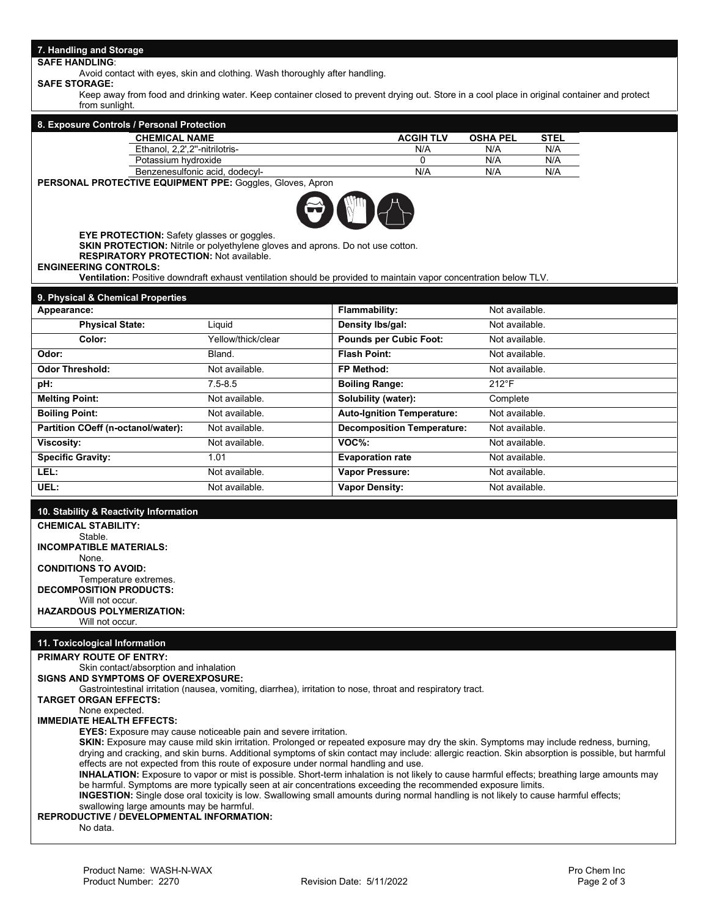# **7. Handling and Storage**

#### **SAFE HANDLING**:

Avoid contact with eyes, skin and clothing. Wash thoroughly after handling.

**SAFE STORAGE:** 

Keep away from food and drinking water. Keep container closed to prevent drying out. Store in a cool place in original container and protect from sunlight.

|                                                                                                    | <b>CHEMICAL NAME</b>                                                                                                                | <b>ACGIH TLV</b>                                                                                                                                                                                                                                                                                                                                    | <b>OSHA PEL</b> | <b>STEL</b> |  |
|----------------------------------------------------------------------------------------------------|-------------------------------------------------------------------------------------------------------------------------------------|-----------------------------------------------------------------------------------------------------------------------------------------------------------------------------------------------------------------------------------------------------------------------------------------------------------------------------------------------------|-----------------|-------------|--|
|                                                                                                    | Ethanol, 2,2',2"-nitrilotris-                                                                                                       | N/A                                                                                                                                                                                                                                                                                                                                                 | N/A             | N/A         |  |
|                                                                                                    | Potassium hydroxide                                                                                                                 | 0                                                                                                                                                                                                                                                                                                                                                   | N/A             | N/A         |  |
| Benzenesulfonic acid, dodecyl-<br><b>PERSONAL PROTECTIVE EQUIPMENT PPE: Goggles, Gloves, Apron</b> |                                                                                                                                     | N/A                                                                                                                                                                                                                                                                                                                                                 | N/A             | N/A         |  |
| <b>RESPIRATORY PROTECTION: Not available.</b>                                                      | <b>EYE PROTECTION:</b> Safety glasses or goggles.<br>SKIN PROTECTION: Nitrile or polyethylene gloves and aprons. Do not use cotton. | $\begin{picture}(120,15) \put(0,0){\line(1,0){15}} \put(15,0){\line(1,0){15}} \put(15,0){\line(1,0){15}} \put(15,0){\line(1,0){15}} \put(15,0){\line(1,0){15}} \put(15,0){\line(1,0){15}} \put(15,0){\line(1,0){15}} \put(15,0){\line(1,0){15}} \put(15,0){\line(1,0){15}} \put(15,0){\line(1,0){15}} \put(15,0){\line(1,0){15}} \put(15,0){\line($ |                 |             |  |
| <b>ENGINEERING CONTROLS:</b>                                                                       |                                                                                                                                     | <b>Ventilation:</b> Positive downdraft exhaust ventilation should be provided to maintain vapor concentration below TLV.                                                                                                                                                                                                                            |                 |             |  |
| 9. Physical & Chemical Properties                                                                  |                                                                                                                                     |                                                                                                                                                                                                                                                                                                                                                     |                 |             |  |
| Appearance:                                                                                        |                                                                                                                                     | <b>Flammability:</b>                                                                                                                                                                                                                                                                                                                                | Not available.  |             |  |
| <b>Physical State:</b>                                                                             | Liquid                                                                                                                              | Density Ibs/gal:                                                                                                                                                                                                                                                                                                                                    | Not available.  |             |  |
| Color:                                                                                             | Yellow/thick/clear                                                                                                                  | <b>Pounds per Cubic Foot:</b>                                                                                                                                                                                                                                                                                                                       | Not available.  |             |  |
|                                                                                                    | Bland.                                                                                                                              | <b>Flash Point:</b>                                                                                                                                                                                                                                                                                                                                 | Not available.  |             |  |
| Odor:<br><b>Odor Threshold:</b>                                                                    | Not available.                                                                                                                      | FP Method:                                                                                                                                                                                                                                                                                                                                          | Not available.  |             |  |
| pH:                                                                                                | $7.5 - 8.5$                                                                                                                         | <b>Boiling Range:</b>                                                                                                                                                                                                                                                                                                                               | $212^{\circ}F$  |             |  |

| <b>Odor Threshold:</b>             | Not available. | FP Method:                        | Not available. |
|------------------------------------|----------------|-----------------------------------|----------------|
| pH:                                | $7.5 - 8.5$    | <b>Boiling Range:</b>             | $212^{\circ}F$ |
| <b>Melting Point:</b>              | Not available. | Solubility (water):               | Complete       |
| <b>Boiling Point:</b>              | Not available. | <b>Auto-Ignition Temperature:</b> | Not available. |
| Partition COeff (n-octanol/water): | Not available. | <b>Decomposition Temperature:</b> | Not available. |
| Viscosity:                         | Not available. | $VOC$ %:                          | Not available. |
| <b>Specific Gravity:</b>           | 1.01           | <b>Evaporation rate</b>           | Not available. |
| LEL:                               | Not available. | <b>Vapor Pressure:</b>            | Not available. |
| UEL:                               | Not available. | <b>Vapor Density:</b>             | Not available. |

#### **10. Stability & Reactivity Information**

**CHEMICAL STABILITY:**  Stable. **INCOMPATIBLE MATERIALS:** None. **CONDITIONS TO AVOID:**  Temperature extremes. **DECOMPOSITION PRODUCTS:** Will not occur. **HAZARDOUS POLYMERIZATION:** Will not occur.

#### **11. Toxicological Information**

#### **PRIMARY ROUTE OF ENTRY:**

Skin contact/absorption and inhalation **SIGNS AND SYMPTOMS OF OVEREXPOSURE:**  Gastrointestinal irritation (nausea, vomiting, diarrhea), irritation to nose, throat and respiratory tract. **TARGET ORGAN EFFECTS:** None expected. **IMMEDIATE HEALTH EFFECTS: EYES:** Exposure may cause noticeable pain and severe irritation. **SKIN:** Exposure may cause mild skin irritation. Prolonged or repeated exposure may dry the skin. Symptoms may include redness, burning, drying and cracking, and skin burns. Additional symptoms of skin contact may include: allergic reaction. Skin absorption is possible, but harmful effects are not expected from this route of exposure under normal handling and use. **INHALATION:** Exposure to vapor or mist is possible. Short-term inhalation is not likely to cause harmful effects; breathing large amounts may be harmful. Symptoms are more typically seen at air concentrations exceeding the recommended exposure limits. **INGESTION:** Single dose oral toxicity is low. Swallowing small amounts during normal handling is not likely to cause harmful effects; swallowing large amounts may be harmful. **REPRODUCTIVE / DEVELOPMENTAL INFORMATION:** No data.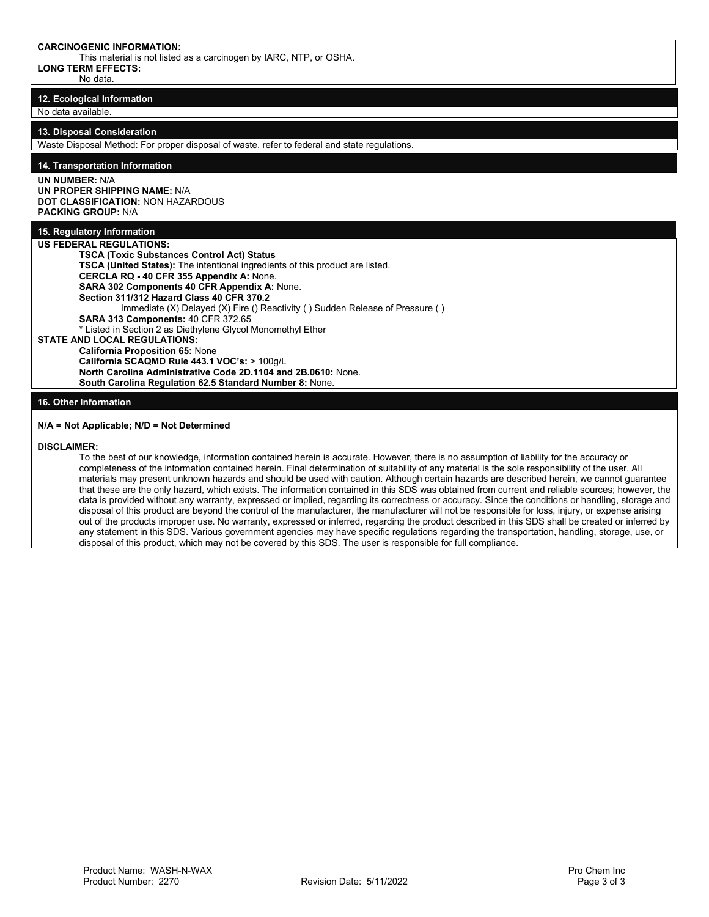This material is not listed as a carcinogen by IARC, NTP, or OSHA. **LONG TERM EFFECTS:** No data.

**12. Ecological Information** No data available.

#### **13. Disposal Consideration**

Waste Disposal Method: For proper disposal of waste, refer to federal and state regulations.

**14. Transportation Information**

# **UN NUMBER:** N/A

**UN PROPER SHIPPING NAME:** N/A **DOT CLASSIFICATION:** NON HAZARDOUS **PACKING GROUP:** N/A

# **15. Regulatory Information**

**US FEDERAL REGULATIONS: TSCA (Toxic Substances Control Act) Status TSCA (United States):** The intentional ingredients of this product are listed. **CERCLA RQ - 40 CFR 355 Appendix A:** None. **SARA 302 Components 40 CFR Appendix A:** None. **Section 311/312 Hazard Class 40 CFR 370.2**  Immediate (X) Delayed (X) Fire () Reactivity ( ) Sudden Release of Pressure ( ) **SARA 313 Components:** 40 CFR 372.65

\* Listed in Section 2 as Diethylene Glycol Monomethyl Ether

**STATE AND LOCAL REGULATIONS:**

**California Proposition 65:** None **California SCAQMD Rule 443.1 VOC's:** > 100g/L **North Carolina Administrative Code 2D.1104 and 2B.0610:** None.

**South Carolina Regulation 62.5 Standard Number 8:** None.

### **16. Other Information**

#### **N/A = Not Applicable; N/D = Not Determined**

#### **DISCLAIMER:**

To the best of our knowledge, information contained herein is accurate. However, there is no assumption of liability for the accuracy or completeness of the information contained herein. Final determination of suitability of any material is the sole responsibility of the user. All materials may present unknown hazards and should be used with caution. Although certain hazards are described herein, we cannot guarantee that these are the only hazard, which exists. The information contained in this SDS was obtained from current and reliable sources; however, the data is provided without any warranty, expressed or implied, regarding its correctness or accuracy. Since the conditions or handling, storage and disposal of this product are beyond the control of the manufacturer, the manufacturer will not be responsible for loss, injury, or expense arising out of the products improper use. No warranty, expressed or inferred, regarding the product described in this SDS shall be created or inferred by any statement in this SDS. Various government agencies may have specific regulations regarding the transportation, handling, storage, use, or disposal of this product, which may not be covered by this SDS. The user is responsible for full compliance.